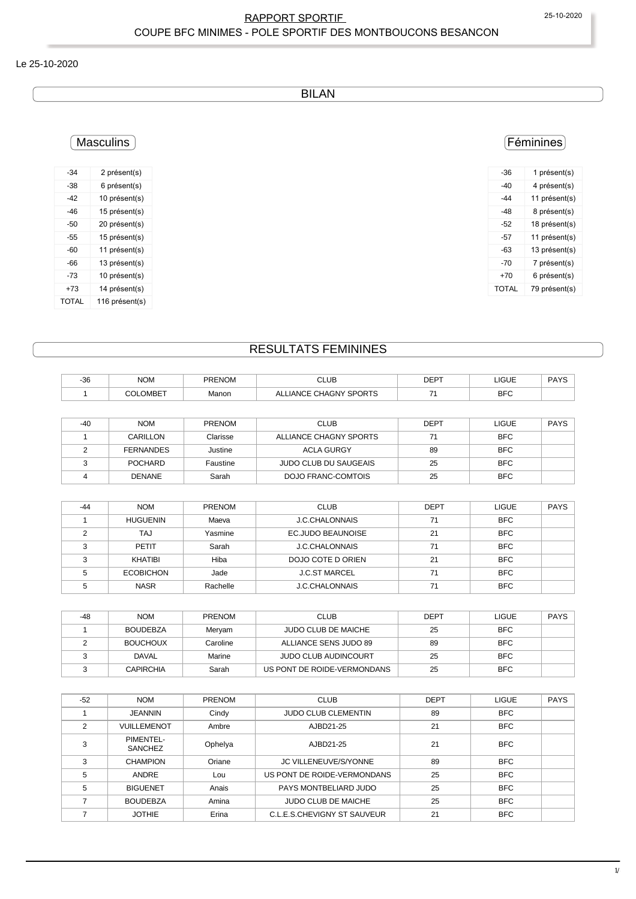#### RAPPORT SPORTIF 25-10-2020 COUPE BFC MINIMES - POLE SPORTIF DES MONTBOUCONS BESANCON

#### Le 25-10-2020

BILAN

## **Masculins**

| -34   | 2 présent(s)   |
|-------|----------------|
| -38   | 6 présent(s)   |
| -42   | 10 présent(s)  |
| -46   | 15 présent(s)  |
| -50   | 20 présent(s)  |
| -55   | 15 présent(s)  |
| -60   | 11 présent(s)  |
| -66   | 13 présent(s)  |
| -73   | 10 présent(s)  |
| +73   | 14 présent(s)  |
| TOTAL | 116 présent(s) |

## Féminines

| -36   | 1 présent(s)  |
|-------|---------------|
| -40   | 4 présent(s)  |
| -44   | 11 présent(s) |
| -48   | 8 présent(s)  |
| -52   | 18 présent(s) |
| -57   | 11 présent(s) |
| -63   | 13 présent(s) |
| -70   | 7 présent(s)  |
| +70   | 6 présent(s)  |
| TOTAL | 79 présent(s) |
|       |               |

## RESULTATS FEMININES

| $-36$ | <b>NOM</b>       | <b>PRENOM</b> | <b>CLUB</b>                  | <b>DEPT</b> | <b>LIGUE</b> | <b>PAYS</b> |
|-------|------------------|---------------|------------------------------|-------------|--------------|-------------|
|       | <b>COLOMBET</b>  | Manon         | ALLIANCE CHAGNY SPORTS       | 71          | <b>BFC</b>   |             |
|       |                  |               |                              |             |              |             |
| $-40$ | <b>NOM</b>       | <b>PRENOM</b> | <b>CLUB</b>                  | <b>DEPT</b> | <b>LIGUE</b> | <b>PAYS</b> |
|       | CARILLON         | Clarisse      | ALLIANCE CHAGNY SPORTS       | 71          | <b>BFC</b>   |             |
| 2     | <b>FERNANDES</b> | Justine       | <b>ACLA GURGY</b>            | 89          | <b>BFC</b>   |             |
| 3     | <b>POCHARD</b>   | Faustine      | <b>JUDO CLUB DU SAUGEAIS</b> | 25          | <b>BFC</b>   |             |
| 4     | <b>DENANE</b>    | Sarah         | <b>DOJO FRANC-COMTOIS</b>    | 25          | <b>BFC</b>   |             |
|       |                  |               |                              |             |              |             |
| $-44$ | <b>NOM</b>       | PRENOM        | CLUB.                        | <b>DEPT</b> | <b>IGUE</b>  | <b>PAYS</b> |

| $-44$ | <b>NOM</b>       | PRENOM   | <b>CLUB</b>           | <b>DEPT</b> | <b>LIGUE</b> | <b>PAYS</b> |
|-------|------------------|----------|-----------------------|-------------|--------------|-------------|
|       | <b>HUGUENIN</b>  | Maeva    | <b>J.C.CHALONNAIS</b> | 71          | <b>BFC</b>   |             |
|       | TAJ              | Yasmine  | EC.JUDO BEAUNOISE     | 21          | <b>BFC</b>   |             |
|       | <b>PETIT</b>     | Sarah    | <b>J.C.CHALONNAIS</b> | 71          | <b>BFC</b>   |             |
| ົ     | KHATIBI          | Hiba     | DOJO COTE D ORIEN     | 21          | <b>BFC</b>   |             |
|       | <b>ECOBICHON</b> | Jade     | <b>J.C.ST MARCEL</b>  | 71          | <b>BFC</b>   |             |
|       | <b>NASR</b>      | Rachelle | <b>J.C.CHALONNAIS</b> | 71          | <b>BFC</b>   |             |

| -48 | <b>NOM</b>       | <b>PRENOM</b> | <b>CLUB</b>                 | <b>DEPT</b> | <b>LIGUE</b> | <b>PAYS</b> |
|-----|------------------|---------------|-----------------------------|-------------|--------------|-------------|
|     | <b>BOUDEBZA</b>  | Meryam        | <b>JUDO CLUB DE MAICHE</b>  | 25          | <b>BFC</b>   |             |
|     | <b>BOUCHOUX</b>  | Caroline      | ALLIANCE SENS JUDO 89       | 89          | <b>BFC</b>   |             |
|     | <b>DAVAL</b>     | Marine        | <b>JUDO CLUB AUDINCOURT</b> | 25          | <b>BFC</b>   |             |
|     | <b>CAPIRCHIA</b> | Sarah         | US PONT DE ROIDE-VERMONDANS | 25          | <b>BFC</b>   |             |

| $-52$ | <b>NOM</b>                  | <b>PRENOM</b> | <b>CLUB</b>                  | <b>DEPT</b> | <b>LIGUE</b> | <b>PAYS</b> |
|-------|-----------------------------|---------------|------------------------------|-------------|--------------|-------------|
|       | <b>JEANNIN</b>              | Cindy         | <b>JUDO CLUB CLEMENTIN</b>   | 89          | <b>BFC</b>   |             |
| 2     | <b>VUILLEMENOT</b>          | Ambre         | AJBD21-25                    | 21          | <b>BFC</b>   |             |
| 3     | PIMENTEL-<br><b>SANCHEZ</b> | Ophelya       | AJBD21-25                    | 21          | <b>BFC</b>   |             |
| 3     | <b>CHAMPION</b>             | Oriane        | <b>JC VILLENEUVE/S/YONNE</b> | 89          | <b>BFC</b>   |             |
| 5     | <b>ANDRE</b>                | Lou           | US PONT DE ROIDE-VERMONDANS  | 25          | <b>BFC</b>   |             |
| 5     | <b>BIGUENET</b>             | Anais         | PAYS MONTBELIARD JUDO        | 25          | <b>BFC</b>   |             |
|       | <b>BOUDEBZA</b>             | Amina         | <b>JUDO CLUB DE MAICHE</b>   | 25          | <b>BFC</b>   |             |
|       | <b>JOTHIE</b>               | Erina         | C.L.E.S.CHEVIGNY ST SAUVEUR  | 21          | <b>BFC</b>   |             |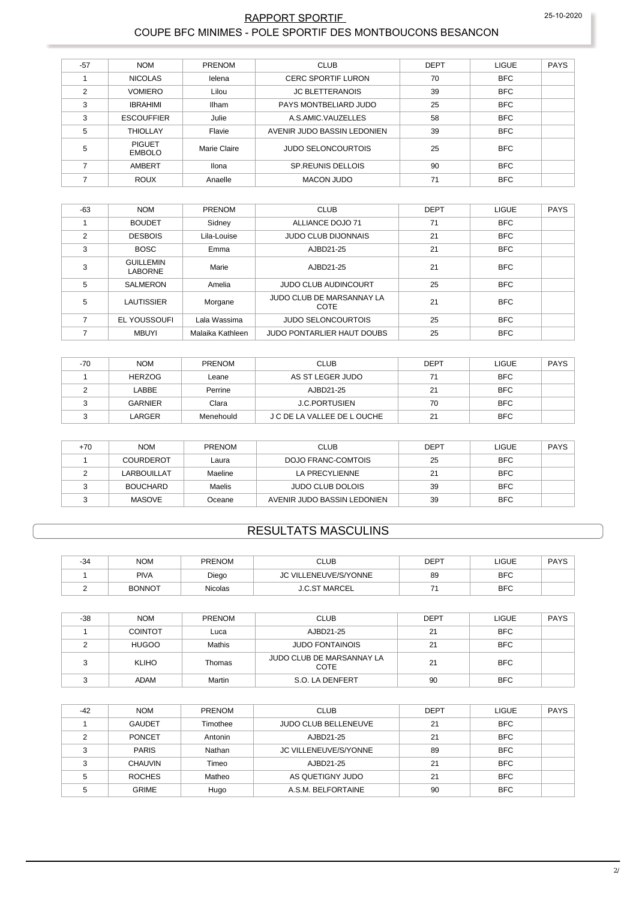#### RAPPORT SPORTIF COUPE BFC MINIMES - POLE SPORTIF DES MONTBOUCONS BESANCON

| $-57$          | <b>NOM</b>                     | <b>PRENOM</b> | <b>CLUB</b>                 | <b>DEPT</b> | <b>LIGUE</b> | <b>PAYS</b> |
|----------------|--------------------------------|---------------|-----------------------------|-------------|--------------|-------------|
|                | <b>NICOLAS</b>                 | lelena        | <b>CERC SPORTIF LURON</b>   | 70          | <b>BFC</b>   |             |
| $\overline{2}$ | <b>VOMIERO</b>                 | Lilou         | <b>JC BLETTERANOIS</b>      | 39          | <b>BFC</b>   |             |
| 3              | <b>IBRAHIMI</b>                | Ilham         | PAYS MONTBELIARD JUDO       | 25          | <b>BFC</b>   |             |
| 3              | <b>ESCOUFFIER</b>              | Julie         | A.S.AMIC.VAUZELLES          | 58          | <b>BFC</b>   |             |
| 5              | <b>THIOLLAY</b>                | Flavie        | AVENIR JUDO BASSIN LEDONIEN | 39          | <b>BFC</b>   |             |
| 5              | <b>PIGUET</b><br><b>EMBOLO</b> | Marie Claire  | <b>JUDO SELONCOURTOIS</b>   | 25          | <b>BFC</b>   |             |
|                | AMBERT                         | Ilona         | <b>SP.REUNIS DELLOIS</b>    | 90          | <b>BFC</b>   |             |
|                | <b>ROUX</b>                    | Anaelle       | <b>MACON JUDO</b>           | 71          | <b>BFC</b>   |             |

| $-63$ | <b>NOM</b>                         | <b>PRENOM</b>    | <b>CLUB</b>                       | <b>DEPT</b> | <b>LIGUE</b> | <b>PAYS</b> |
|-------|------------------------------------|------------------|-----------------------------------|-------------|--------------|-------------|
|       | <b>BOUDET</b>                      | Sidney           | ALLIANCE DOJO 71                  | 71          | <b>BFC</b>   |             |
| 2     | <b>DESBOIS</b>                     | Lila-Louise      | <b>JUDO CLUB DIJONNAIS</b>        | 21          | <b>BFC</b>   |             |
| 3     | <b>BOSC</b>                        | Emma             | AJBD21-25                         | 21          | <b>BFC</b>   |             |
| 3     | <b>GUILLEMIN</b><br><b>LABORNE</b> | Marie            | AJBD21-25                         | 21          | <b>BFC</b>   |             |
| 5     | <b>SALMERON</b>                    | Amelia           | <b>JUDO CLUB AUDINCOURT</b>       | 25          | <b>BFC</b>   |             |
| 5     | <b>LAUTISSIER</b>                  | Morgane          | JUDO CLUB DE MARSANNAY LA<br>COTE | 21          | <b>BFC</b>   |             |
|       | EL YOUSSOUFI                       | Lala Wassima     | <b>JUDO SELONCOURTOIS</b>         | 25          | <b>BFC</b>   |             |
|       | <b>MBUYI</b>                       | Malaika Kathleen | JUDO PONTARLIER HAUT DOUBS        | 25          | <b>BFC</b>   |             |

| -70 | <b>NOM</b>     | PRENOM    | <b>CLUB</b>                 | <b>DEPT</b> | <b>LIGUE</b> | PAYS |
|-----|----------------|-----------|-----------------------------|-------------|--------------|------|
|     | <b>HERZOG</b>  | Leane     | AS ST LEGER JUDO            | 71          | <b>BFC</b>   |      |
|     | LABBE          | Perrine   | AJBD21-25                   | 21          | <b>BFC</b>   |      |
|     | <b>GARNIER</b> | Clara     | <b>J.C.PORTUSIEN</b>        | 70          | <b>BFC</b>   |      |
|     | LARGER         | Menehould | J C DE LA VALLEE DE L OUCHE | 21          | <b>BFC</b>   |      |

| +70 | <b>NOM</b>       | <b>PRENOM</b> | <b>CLUB</b>                 | <b>DEPT</b> | LIGUE      | PAYS |
|-----|------------------|---------------|-----------------------------|-------------|------------|------|
|     | <b>COURDEROT</b> | Laura         | DOJO FRANC-COMTOIS          | 25          | <b>BFC</b> |      |
|     | LARBOUILLAT      | Maeline       | LA PRECYLIENNE              | 21          | <b>BFC</b> |      |
|     | <b>BOUCHARD</b>  | Maelis        | <b>JUDO CLUB DOLOIS</b>     | 39          | <b>BFC</b> |      |
|     | <b>MASOVE</b>    | Oceane        | AVENIR JUDO BASSIN LEDONIEN | 39          | <b>BFC</b> |      |

## **RESULTATS MASCULINS**

| -34 | <b>NOM</b>    | <b>PRENOM</b>  | CLUB                    | <b>DEPT</b> | LIGUE      | <b>PAYS</b> |
|-----|---------------|----------------|-------------------------|-------------|------------|-------------|
|     | <b>PIVA</b>   | Diego          | JC VILLENEUVE/S/YONNE   | 89          | <b>BFC</b> |             |
|     | <b>BONNOT</b> | <b>Nicolas</b> | <b>MARCEL</b><br>J.C.ST |             | <b>BFC</b> |             |

| $-38$ | <b>NOM</b>     | <b>PRENOM</b> | <b>CLUB</b>                              | <b>DEPT</b> | <b>LIGUE</b> | <b>PAYS</b> |
|-------|----------------|---------------|------------------------------------------|-------------|--------------|-------------|
|       | <b>COINTOT</b> | Luca          | AJBD21-25                                | 21          | <b>BFC</b>   |             |
|       | <b>HUGOO</b>   | Mathis        | <b>JUDO FONTAINOIS</b>                   | 21          | <b>BFC</b>   |             |
|       | <b>KLIHO</b>   | Thomas        | JUDO CLUB DE MARSANNAY LA<br><b>COTE</b> | 21          | <b>BFC</b>   |             |
|       | <b>ADAM</b>    | Martin        | S.O. LA DENFERT                          | 90          | <b>BFC</b>   |             |

| $-42$ | <b>NOM</b>     | <b>PRENOM</b> | <b>CLUB</b>                 | <b>DEPT</b> | <b>LIGUE</b> | <b>PAYS</b> |
|-------|----------------|---------------|-----------------------------|-------------|--------------|-------------|
|       | <b>GAUDET</b>  | Timothee      | <b>JUDO CLUB BELLENEUVE</b> | 21          | <b>BFC</b>   |             |
| ◠     | PONCET         | Antonin       | AJBD21-25                   | 21          | <b>BFC</b>   |             |
| ົ     | <b>PARIS</b>   | Nathan        | JC VILLENEUVE/S/YONNE       | 89          | <b>BFC</b>   |             |
| ີ     | <b>CHAUVIN</b> | Timeo         | AJBD21-25                   | 21          | <b>BFC</b>   |             |
|       | <b>ROCHES</b>  | Matheo        | AS QUETIGNY JUDO            | 21          | <b>BFC</b>   |             |
|       | <b>GRIME</b>   | Hugo          | A.S.M. BELFORTAINE          | 90          | <b>BFC</b>   |             |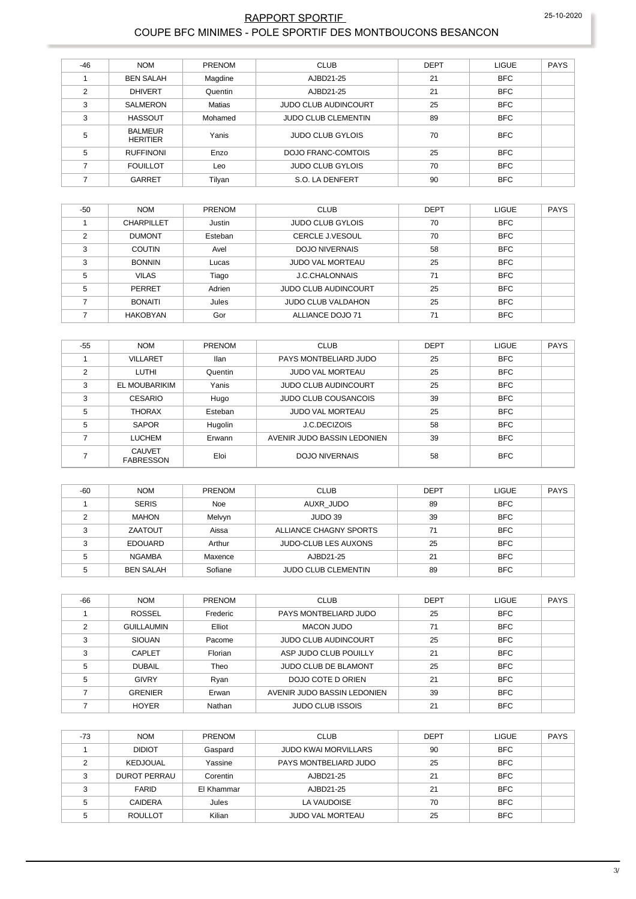#### RAPPORT SPORTIF COUPE BFC MINIMES - POLE SPORTIF DES MONTBOUCONS BESANCON

| $-46$          | <b>NOM</b>                        | <b>PRENOM</b> | <b>CLUB</b>                 | <b>DEPT</b> | <b>LIGUE</b> | <b>PAYS</b> |
|----------------|-----------------------------------|---------------|-----------------------------|-------------|--------------|-------------|
|                | <b>BEN SALAH</b>                  | Magdine       | AJBD21-25                   | 21          | <b>BFC</b>   |             |
| $\mathfrak{p}$ | <b>DHIVERT</b>                    | Quentin       | AJBD21-25                   | 21          | <b>BFC</b>   |             |
| 3              | SALMERON                          | Matias        | <b>JUDO CLUB AUDINCOURT</b> | 25          | <b>BFC</b>   |             |
| 3              | <b>HASSOUT</b>                    | Mohamed       | <b>JUDO CLUB CLEMENTIN</b>  | 89          | <b>BFC</b>   |             |
| 5              | <b>BALMEUR</b><br><b>HERITIER</b> | Yanis         | <b>JUDO CLUB GYLOIS</b>     | 70          | <b>BFC</b>   |             |
| 5              | <b>RUFFINONI</b>                  | Enzo          | DOJO FRANC-COMTOIS          | 25          | <b>BFC</b>   |             |
| ⇁              | <b>FOUILLOT</b>                   | Leo           | <b>JUDO CLUB GYLOIS</b>     | 70          | <b>BFC</b>   |             |
|                | GARRET                            | Tilyan        | S.O. LA DENFERT             | 90          | <b>BFC</b>   |             |

| $-50$ | <b>NOM</b>        | <b>PRENOM</b> | <b>CLUB</b>                 | <b>DEPT</b> | <b>LIGUE</b> | <b>PAYS</b> |
|-------|-------------------|---------------|-----------------------------|-------------|--------------|-------------|
|       | <b>CHARPILLET</b> | Justin        | <b>JUDO CLUB GYLOIS</b>     | 70          | <b>BFC</b>   |             |
| 2     | <b>DUMONT</b>     | Esteban       | <b>CERCLE J.VESOUL</b>      | 70          | <b>BFC</b>   |             |
| 3     | <b>COUTIN</b>     | Avel          | <b>DOJO NIVERNAIS</b>       | 58          | <b>BFC</b>   |             |
| 3     | <b>BONNIN</b>     | Lucas         | <b>JUDO VAL MORTEAU</b>     | 25          | <b>BFC</b>   |             |
| 5     | <b>VILAS</b>      | Tiago         | <b>J.C.CHALONNAIS</b>       | 71          | <b>BFC</b>   |             |
| 5     | PERRET            | Adrien        | <b>JUDO CLUB AUDINCOURT</b> | 25          | <b>BFC</b>   |             |
|       | <b>BONAITI</b>    | Jules         | <b>JUDO CLUB VALDAHON</b>   | 25          | <b>BFC</b>   |             |
|       | <b>HAKOBYAN</b>   | Gor           | ALLIANCE DOJO 71            | 71          | <b>BFC</b>   |             |

| $-55$ | <b>NOM</b>                        | <b>PRENOM</b> | <b>CLUB</b>                 | <b>DEPT</b> | <b>LIGUE</b> | <b>PAYS</b> |
|-------|-----------------------------------|---------------|-----------------------------|-------------|--------------|-------------|
|       | <b>VILLARET</b>                   | <b>Ilan</b>   | PAYS MONTBELIARD JUDO       | 25          | <b>BFC</b>   |             |
| 2     | <b>LUTHI</b>                      | Quentin       | <b>JUDO VAL MORTEAU</b>     | 25          | <b>BFC</b>   |             |
| 3     | EL MOUBARIKIM                     | Yanis         | <b>JUDO CLUB AUDINCOURT</b> | 25          | <b>BFC</b>   |             |
| 3     | <b>CESARIO</b>                    | Hugo          | <b>JUDO CLUB COUSANCOIS</b> | 39          | <b>BFC</b>   |             |
| 5     | <b>THORAX</b>                     | Esteban       | <b>JUDO VAL MORTEAU</b>     | 25          | <b>BFC</b>   |             |
| 5     | <b>SAPOR</b>                      | Hugolin       | <b>J.C.DECIZOIS</b>         | 58          | <b>BFC</b>   |             |
|       | LUCHEM                            | Erwann        | AVENIR JUDO BASSIN LEDONIEN | 39          | <b>BFC</b>   |             |
|       | <b>CAUVET</b><br><b>FABRESSON</b> | Eloi          | <b>DOJO NIVERNAIS</b>       | 58          | <b>BFC</b>   |             |

| $-60$ | <b>NOM</b>       | <b>PRENOM</b> | <b>CLUB</b>                 | <b>DEPT</b> | <b>LIGUE</b> | PAYS |
|-------|------------------|---------------|-----------------------------|-------------|--------------|------|
|       | <b>SERIS</b>     | Noe           | AUXR JUDO                   | 89          | <b>BFC</b>   |      |
|       | <b>MAHON</b>     | Melvyn        | JUDO 39                     | 39          | <b>BFC</b>   |      |
|       | ZAATOUT          | Aissa         | ALLIANCE CHAGNY SPORTS      | 71          | <b>BFC</b>   |      |
| ົ     | <b>EDOUARD</b>   | Arthur        | <b>JUDO-CLUB LES AUXONS</b> | 25          | <b>BFC</b>   |      |
|       | <b>NGAMBA</b>    | Maxence       | AJBD21-25                   | 21          | <b>BFC</b>   |      |
|       | <b>BEN SALAH</b> | Sofiane       | <b>JUDO CLUB CLEMENTIN</b>  | 89          | <b>BFC</b>   |      |

| -66 | <b>NOM</b>        | <b>PRENOM</b> | <b>CLUB</b>                 | <b>DEPT</b> | <b>LIGUE</b> | <b>PAYS</b> |
|-----|-------------------|---------------|-----------------------------|-------------|--------------|-------------|
|     | <b>ROSSEL</b>     | Frederic      | PAYS MONTBELIARD JUDO       | 25          | <b>BFC</b>   |             |
| ◠   | <b>GUILLAUMIN</b> | Elliot        | <b>MACON JUDO</b>           | 71          | <b>BFC</b>   |             |
| 3   | <b>SIOUAN</b>     | Pacome        | <b>JUDO CLUB AUDINCOURT</b> | 25          | <b>BFC</b>   |             |
| っ   | CAPLET            | Florian       | ASP JUDO CLUB POUILLY       | 21          | <b>BFC</b>   |             |
| 5   | <b>DUBAIL</b>     | Theo          | <b>JUDO CLUB DE BLAMONT</b> | 25          | <b>BFC</b>   |             |
| 5   | <b>GIVRY</b>      | Ryan          | DOJO COTE D ORIEN           | 21          | <b>BFC</b>   |             |
|     | <b>GRENIER</b>    | Erwan         | AVENIR JUDO BASSIN LEDONIEN | 39          | <b>BFC</b>   |             |
|     | <b>HOYER</b>      | Nathan        | <b>JUDO CLUB ISSOIS</b>     | 21          | <b>BFC</b>   |             |

| -73 | <b>NOM</b>     | <b>PRENOM</b> | <b>CLUB</b>                 | DEPT | <b>LIGUE</b> | <b>PAYS</b> |
|-----|----------------|---------------|-----------------------------|------|--------------|-------------|
|     | <b>DIDIOT</b>  | Gaspard       | <b>JUDO KWAI MORVILLARS</b> | 90   | <b>BFC</b>   |             |
| 2   | KEDJOUAL       | Yassine       | PAYS MONTBELIARD JUDO       | 25   | <b>BFC</b>   |             |
| 3   | DUROT PERRAU   | Corentin      | AJBD21-25                   | 21   | <b>BFC</b>   |             |
| 3   | <b>FARID</b>   | El Khammar    | AJBD21-25                   | 21   | <b>BFC</b>   |             |
| 5   | <b>CAIDERA</b> | Jules         | LA VAUDOISE                 | 70   | <b>BFC</b>   |             |
| 5   | <b>ROULLOT</b> | Kilian        | <b>JUDO VAL MORTEAU</b>     | 25   | <b>BFC</b>   |             |
|     |                |               |                             |      |              |             |